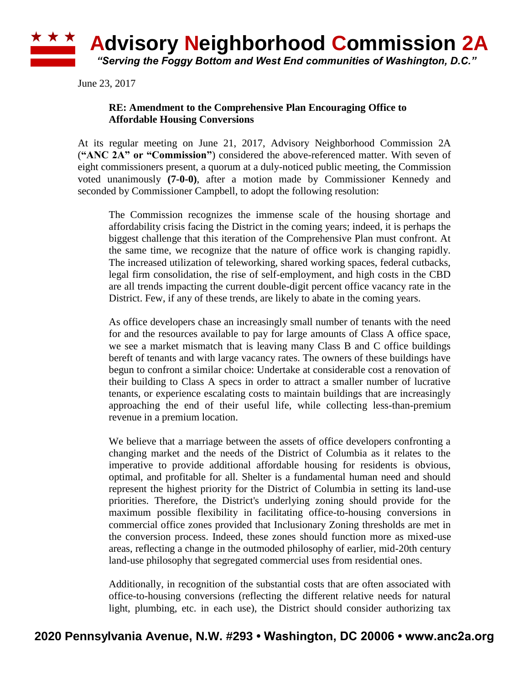## \* \* \* **Advisory Neighborhood Commission 2A** *"Serving the Foggy Bottom and West End communities of Washington, D.C."*

June 23, 2017

## **RE: Amendment to the Comprehensive Plan Encouraging Office to Affordable Housing Conversions**

At its regular meeting on June 21, 2017, Advisory Neighborhood Commission 2A (**"ANC 2A" or "Commission"**) considered the above-referenced matter. With seven of eight commissioners present, a quorum at a duly-noticed public meeting, the Commission voted unanimously **(7-0-0)**, after a motion made by Commissioner Kennedy and seconded by Commissioner Campbell, to adopt the following resolution:

The Commission recognizes the immense scale of the housing shortage and affordability crisis facing the District in the coming years; indeed, it is perhaps the biggest challenge that this iteration of the Comprehensive Plan must confront. At the same time, we recognize that the nature of office work is changing rapidly. The increased utilization of teleworking, shared working spaces, federal cutbacks, legal firm consolidation, the rise of self-employment, and high costs in the CBD are all trends impacting the current double-digit percent office vacancy rate in the District. Few, if any of these trends, are likely to abate in the coming years.

As office developers chase an increasingly small number of tenants with the need for and the resources available to pay for large amounts of Class A office space, we see a market mismatch that is leaving many Class B and C office buildings bereft of tenants and with large vacancy rates. The owners of these buildings have begun to confront a similar choice: Undertake at considerable cost a renovation of their building to Class A specs in order to attract a smaller number of lucrative tenants, or experience escalating costs to maintain buildings that are increasingly approaching the end of their useful life, while collecting less-than-premium revenue in a premium location.

We believe that a marriage between the assets of office developers confronting a changing market and the needs of the District of Columbia as it relates to the imperative to provide additional affordable housing for residents is obvious, optimal, and profitable for all. Shelter is a fundamental human need and should represent the highest priority for the District of Columbia in setting its land-use priorities. Therefore, the District's underlying zoning should provide for the maximum possible flexibility in facilitating office-to-housing conversions in commercial office zones provided that Inclusionary Zoning thresholds are met in the conversion process. Indeed, these zones should function more as mixed-use areas, reflecting a change in the outmoded philosophy of earlier, mid-20th century land-use philosophy that segregated commercial uses from residential ones.

Additionally, in recognition of the substantial costs that are often associated with office-to-housing conversions (reflecting the different relative needs for natural light, plumbing, etc. in each use), the District should consider authorizing tax